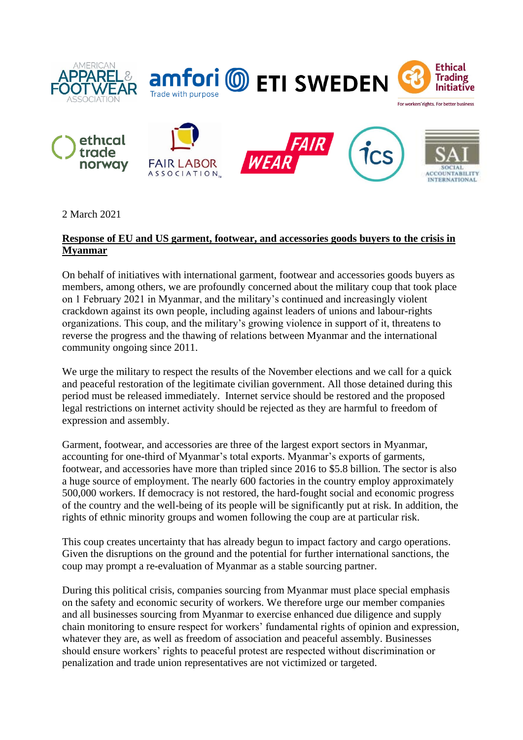

2 March 2021

## **Response of EU and US garment, footwear, and accessories goods buyers to the crisis in Myanmar**

On behalf of initiatives with international garment, footwear and accessories goods buyers as members, among others, we are profoundly concerned about the military coup that took place on 1 February 2021 in Myanmar, and the military's continued and increasingly violent crackdown against its own people, including against leaders of unions and labour-rights organizations. This coup, and the military's growing violence in support of it, threatens to reverse the progress and the thawing of relations between Myanmar and the international community ongoing since 2011.

We urge the military to respect the results of the November elections and we call for a quick and peaceful restoration of the legitimate civilian government. All those detained during this period must be released immediately. Internet service should be restored and the proposed legal restrictions on internet activity should be rejected as they are harmful to freedom of expression and assembly.

Garment, footwear, and accessories are three of the largest export sectors in Myanmar, accounting for one-third of Myanmar's total exports. Myanmar's exports of garments, footwear, and accessories have more than tripled since 2016 to \$5.8 billion. The sector is also a huge source of employment. The nearly 600 factories in the country employ approximately 500,000 workers. If democracy is not restored, the hard-fought social and economic progress of the country and the well-being of its people will be significantly put at risk. In addition, the rights of ethnic minority groups and women following the coup are at particular risk.

This coup creates uncertainty that has already begun to impact factory and cargo operations. Given the disruptions on the ground and the potential for further international sanctions, the coup may prompt a re-evaluation of Myanmar as a stable sourcing partner.

During this political crisis, companies sourcing from Myanmar must place special emphasis on the safety and economic security of workers. We therefore urge our member companies and all businesses sourcing from Myanmar to exercise enhanced due diligence and supply chain monitoring to ensure respect for workers' fundamental rights of opinion and expression, whatever they are, as well as freedom of association and peaceful assembly. Businesses should ensure workers' rights to peaceful protest are respected without discrimination or penalization and trade union representatives are not victimized or targeted.